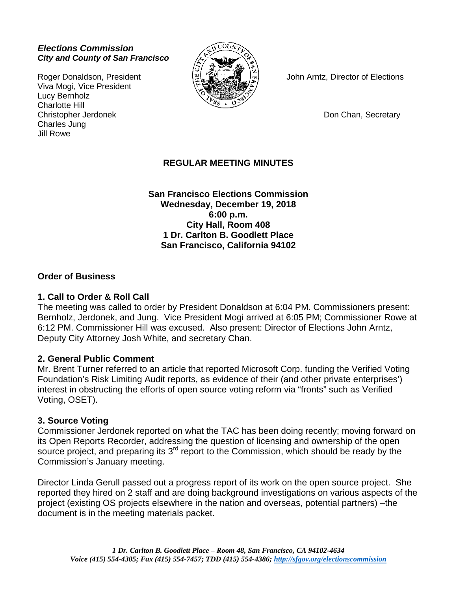#### *Elections Commission City and County of San Francisco*

Viva Mogi, Vice President Lucy Bernholz Charlotte Hill Christopher Jerdonek **Don Chan, Secretary** Charles Jung Jill Rowe



Roger Donaldson, President John Arntz, Director of Elections

## **REGULAR MEETING MINUTES**

**San Francisco Elections Commission Wednesday, December 19, 2018 6:00 p.m. City Hall, Room 408 1 Dr. Carlton B. Goodlett Place San Francisco, California 94102**

#### **Order of Business**

#### **1. Call to Order & Roll Call**

The meeting was called to order by President Donaldson at 6:04 PM. Commissioners present: Bernholz, Jerdonek, and Jung. Vice President Mogi arrived at 6:05 PM; Commissioner Rowe at 6:12 PM. Commissioner Hill was excused. Also present: Director of Elections John Arntz, Deputy City Attorney Josh White, and secretary Chan.

#### **2. General Public Comment**

Mr. Brent Turner referred to an article that reported Microsoft Corp. funding the Verified Voting Foundation's Risk Limiting Audit reports, as evidence of their (and other private enterprises') interest in obstructing the efforts of open source voting reform via "fronts" such as Verified Voting, OSET).

#### **3. Source Voting**

Commissioner Jerdonek reported on what the TAC has been doing recently; moving forward on its Open Reports Recorder, addressing the question of licensing and ownership of the open source project, and preparing its  $3<sup>rd</sup>$  report to the Commission, which should be ready by the Commission's January meeting.

Director Linda Gerull passed out a progress report of its work on the open source project. She reported they hired on 2 staff and are doing background investigations on various aspects of the project (existing OS projects elsewhere in the nation and overseas, potential partners) –the document is in the meeting materials packet.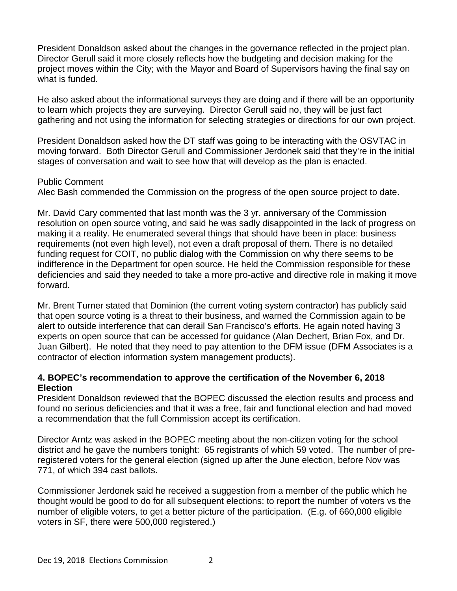President Donaldson asked about the changes in the governance reflected in the project plan. Director Gerull said it more closely reflects how the budgeting and decision making for the project moves within the City; with the Mayor and Board of Supervisors having the final say on what is funded.

He also asked about the informational surveys they are doing and if there will be an opportunity to learn which projects they are surveying. Director Gerull said no, they will be just fact gathering and not using the information for selecting strategies or directions for our own project.

President Donaldson asked how the DT staff was going to be interacting with the OSVTAC in moving forward. Both Director Gerull and Commissioner Jerdonek said that they're in the initial stages of conversation and wait to see how that will develop as the plan is enacted.

#### Public Comment

Alec Bash commended the Commission on the progress of the open source project to date.

Mr. David Cary commented that last month was the 3 yr. anniversary of the Commission resolution on open source voting, and said he was sadly disappointed in the lack of progress on making it a reality. He enumerated several things that should have been in place: business requirements (not even high level), not even a draft proposal of them. There is no detailed funding request for COIT, no public dialog with the Commission on why there seems to be indifference in the Department for open source. He held the Commission responsible for these deficiencies and said they needed to take a more pro-active and directive role in making it move forward.

Mr. Brent Turner stated that Dominion (the current voting system contractor) has publicly said that open source voting is a threat to their business, and warned the Commission again to be alert to outside interference that can derail San Francisco's efforts. He again noted having 3 experts on open source that can be accessed for guidance (Alan Dechert, Brian Fox, and Dr. Juan Gilbert). He noted that they need to pay attention to the DFM issue (DFM Associates is a contractor of election information system management products).

## **4. BOPEC's recommendation to approve the certification of the November 6, 2018 Election**

President Donaldson reviewed that the BOPEC discussed the election results and process and found no serious deficiencies and that it was a free, fair and functional election and had moved a recommendation that the full Commission accept its certification.

Director Arntz was asked in the BOPEC meeting about the non-citizen voting for the school district and he gave the numbers tonight: 65 registrants of which 59 voted. The number of preregistered voters for the general election (signed up after the June election, before Nov was 771, of which 394 cast ballots.

Commissioner Jerdonek said he received a suggestion from a member of the public which he thought would be good to do for all subsequent elections: to report the number of voters vs the number of eligible voters, to get a better picture of the participation. (E.g. of 660,000 eligible voters in SF, there were 500,000 registered.)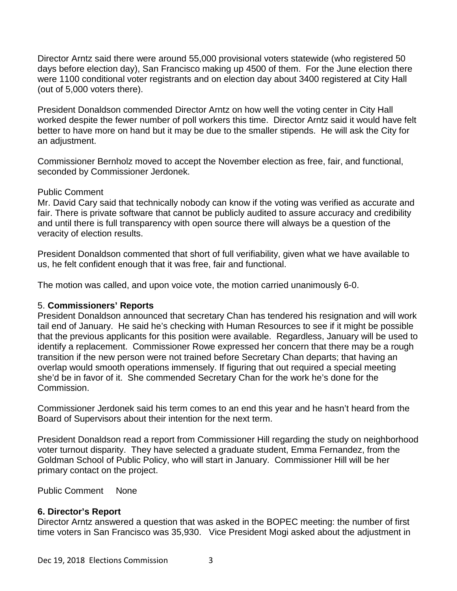Director Arntz said there were around 55,000 provisional voters statewide (who registered 50 days before election day), San Francisco making up 4500 of them. For the June election there were 1100 conditional voter registrants and on election day about 3400 registered at City Hall (out of 5,000 voters there).

President Donaldson commended Director Arntz on how well the voting center in City Hall worked despite the fewer number of poll workers this time. Director Arntz said it would have felt better to have more on hand but it may be due to the smaller stipends. He will ask the City for an adjustment.

Commissioner Bernholz moved to accept the November election as free, fair, and functional, seconded by Commissioner Jerdonek.

## Public Comment

Mr. David Cary said that technically nobody can know if the voting was verified as accurate and fair. There is private software that cannot be publicly audited to assure accuracy and credibility and until there is full transparency with open source there will always be a question of the veracity of election results.

President Donaldson commented that short of full verifiability, given what we have available to us, he felt confident enough that it was free, fair and functional.

The motion was called, and upon voice vote, the motion carried unanimously 6-0.

# 5. **Commissioners' Reports**

President Donaldson announced that secretary Chan has tendered his resignation and will work tail end of January. He said he's checking with Human Resources to see if it might be possible that the previous applicants for this position were available. Regardless, January will be used to identify a replacement. Commissioner Rowe expressed her concern that there may be a rough transition if the new person were not trained before Secretary Chan departs; that having an overlap would smooth operations immensely. If figuring that out required a special meeting she'd be in favor of it. She commended Secretary Chan for the work he's done for the Commission.

Commissioner Jerdonek said his term comes to an end this year and he hasn't heard from the Board of Supervisors about their intention for the next term.

President Donaldson read a report from Commissioner Hill regarding the study on neighborhood voter turnout disparity. They have selected a graduate student, Emma Fernandez, from the Goldman School of Public Policy, who will start in January. Commissioner Hill will be her primary contact on the project.

Public Comment None

# **6. Director's Report**

Director Arntz answered a question that was asked in the BOPEC meeting: the number of first time voters in San Francisco was 35,930. Vice President Mogi asked about the adjustment in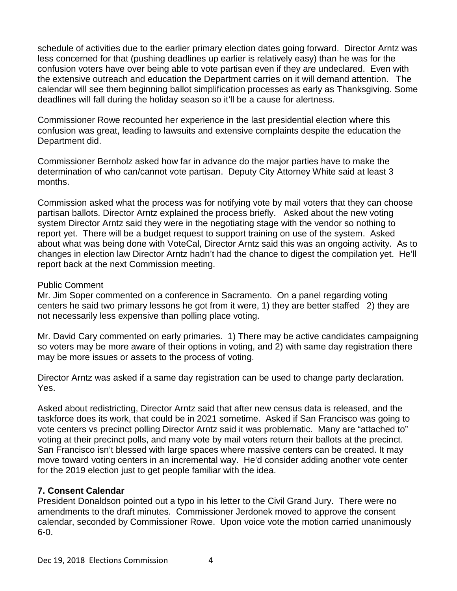schedule of activities due to the earlier primary election dates going forward. Director Arntz was less concerned for that (pushing deadlines up earlier is relatively easy) than he was for the confusion voters have over being able to vote partisan even if they are undeclared. Even with the extensive outreach and education the Department carries on it will demand attention. The calendar will see them beginning ballot simplification processes as early as Thanksgiving. Some deadlines will fall during the holiday season so it'll be a cause for alertness.

Commissioner Rowe recounted her experience in the last presidential election where this confusion was great, leading to lawsuits and extensive complaints despite the education the Department did.

Commissioner Bernholz asked how far in advance do the major parties have to make the determination of who can/cannot vote partisan. Deputy City Attorney White said at least 3 months.

Commission asked what the process was for notifying vote by mail voters that they can choose partisan ballots. Director Arntz explained the process briefly. Asked about the new voting system Director Arntz said they were in the negotiating stage with the vendor so nothing to report yet. There will be a budget request to support training on use of the system. Asked about what was being done with VoteCal, Director Arntz said this was an ongoing activity. As to changes in election law Director Arntz hadn't had the chance to digest the compilation yet. He'll report back at the next Commission meeting.

#### Public Comment

Mr. Jim Soper commented on a conference in Sacramento. On a panel regarding voting centers he said two primary lessons he got from it were, 1) they are better staffed 2) they are not necessarily less expensive than polling place voting.

Mr. David Cary commented on early primaries. 1) There may be active candidates campaigning so voters may be more aware of their options in voting, and 2) with same day registration there may be more issues or assets to the process of voting.

Director Arntz was asked if a same day registration can be used to change party declaration. Yes.

Asked about redistricting, Director Arntz said that after new census data is released, and the taskforce does its work, that could be in 2021 sometime. Asked if San Francisco was going to vote centers vs precinct polling Director Arntz said it was problematic. Many are "attached to" voting at their precinct polls, and many vote by mail voters return their ballots at the precinct. San Francisco isn't blessed with large spaces where massive centers can be created. It may move toward voting centers in an incremental way. He'd consider adding another vote center for the 2019 election just to get people familiar with the idea.

# **7. Consent Calendar**

President Donaldson pointed out a typo in his letter to the Civil Grand Jury. There were no amendments to the draft minutes. Commissioner Jerdonek moved to approve the consent calendar, seconded by Commissioner Rowe. Upon voice vote the motion carried unanimously 6-0.